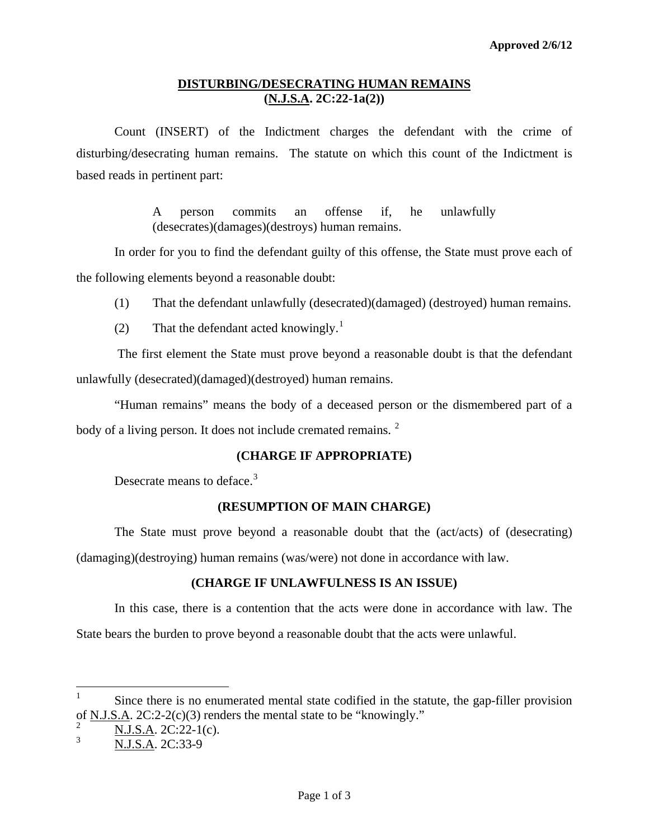#### **DISTURBING/DESECRATING HUMAN REMAINS (N.J.S.A. 2C:22-1a(2))**

 Count (INSERT) of the Indictment charges the defendant with the crime of disturbing/desecrating human remains. The statute on which this count of the Indictment is based reads in pertinent part:

> A person commits an offense if, he unlawfully (desecrates)(damages)(destroys) human remains.

In order for you to find the defendant guilty of this offense, the State must prove each of the following elements beyond a reasonable doubt:

(1) That the defendant unlawfully (desecrated)(damaged) (destroyed) human remains.

(2) That the defendant acted knowingly.<sup>[1](#page-0-0)</sup>

 The first element the State must prove beyond a reasonable doubt is that the defendant unlawfully (desecrated)(damaged)(destroyed) human remains.

"Human remains" means the body of a deceased person or the dismembered part of a body of a living person. It does not include cremated remains. <sup>[2](#page-0-1)</sup>

# **(CHARGE IF APPROPRIATE)**

Desecrate means to deface.<sup>[3](#page-0-2)</sup>

#### **(RESUMPTION OF MAIN CHARGE)**

The State must prove beyond a reasonable doubt that the (act/acts) of (desecrating) (damaging)(destroying) human remains (was/were) not done in accordance with law.

# **(CHARGE IF UNLAWFULNESS IS AN ISSUE)**

In this case, there is a contention that the acts were done in accordance with law. The State bears the burden to prove beyond a reasonable doubt that the acts were unlawful.

<span id="page-0-0"></span> $\frac{1}{1}$  Since there is no enumerated mental state codified in the statute, the gap-filler provision of N.J.S.A. 2C:2-2(c)(3) renders the mental state to be "knowingly."

<sup>2</sup> N.J.S.A. 2C:22-1(c).

<span id="page-0-3"></span><span id="page-0-2"></span><span id="page-0-1"></span><sup>3</sup> N.J.S.A. 2C:33-9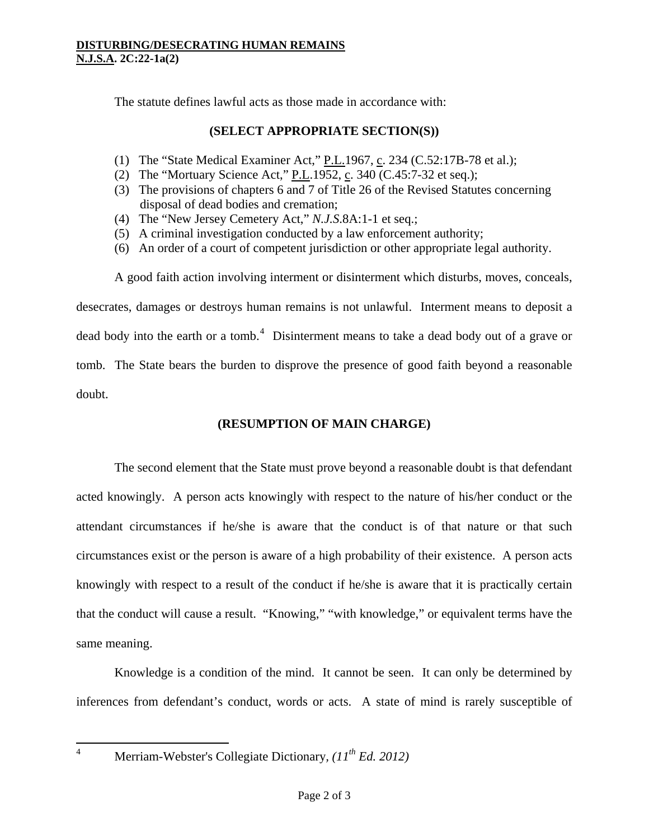The statute defines lawful acts as those made in accordance with:

### **(SELECT APPROPRIATE SECTION(S))**

- (1) The "State Medical Examiner Act,"  $P.L.1967$ , c. 234 ([C.52:17B-78](https://web2.westlaw.com/find/default.wl?tc=-1&docname=NJST52%3a17B-78&rp=%2ffind%2fdefault.wl&sv=Split&rs=WLW11.10&db=1000045&tf=-1&findtype=L&fn=_top&mt=68&vr=2.0&pbc=6E554CFE&ordoc=11225738) et al.);
- (2) The "Mortuary Science Act," P.L.1952, c. 340 ([C.45:7-32 et seq.\)](https://web2.westlaw.com/find/default.wl?tc=-1&docname=NJST45%3a7-32&rp=%2ffind%2fdefault.wl&sv=Split&rs=WLW11.10&db=1000045&tf=-1&findtype=L&fn=_top&mt=68&vr=2.0&pbc=6E554CFE&ordoc=11225738);
- (3) The provisions of chapters 6 and 7 of Title 26 of the Revised Statutes concerning disposal of dead bodies and cremation;
- (4) The "New Jersey Cemetery Act," *N.J.S*[.8A:1-1 et seq.;](https://web2.westlaw.com/find/default.wl?tc=-1&docname=NJST8A%3a1-1&rp=%2ffind%2fdefault.wl&sv=Split&rs=WLW11.10&db=1000045&tf=-1&findtype=L&fn=_top&mt=68&vr=2.0&pbc=6E554CFE&ordoc=11225738)
- (5) A criminal investigation conducted by a law enforcement authority;
- (6) An order of a court of competent jurisdiction or other appropriate legal authority.

 A good faith action involving interment or disinterment which disturbs, moves, conceals, desecrates, damages or destroys human remains is not unlawful. Interment means to deposit a dead body into the earth or a tomb.<sup>[4](#page-0-3)</sup> Disinterment means to take a dead body out of a grave or tomb. The State bears the burden to disprove the presence of good faith beyond a reasonable doubt.

# **(RESUMPTION OF MAIN CHARGE)**

The second element that the State must prove beyond a reasonable doubt is that defendant acted knowingly. A person acts knowingly with respect to the nature of his/her conduct or the attendant circumstances if he/she is aware that the conduct is of that nature or that such circumstances exist or the person is aware of a high probability of their existence. A person acts knowingly with respect to a result of the conduct if he/she is aware that it is practically certain that the conduct will cause a result. "Knowing," "with knowledge," or equivalent terms have the same meaning.

Knowledge is a condition of the mind. It cannot be seen. It can only be determined by inferences from defendant's conduct, words or acts. A state of mind is rarely susceptible of

 $\frac{1}{4}$ 

Merriam-Webster's Collegiate Dictionary*, (11th Ed. 2012)*